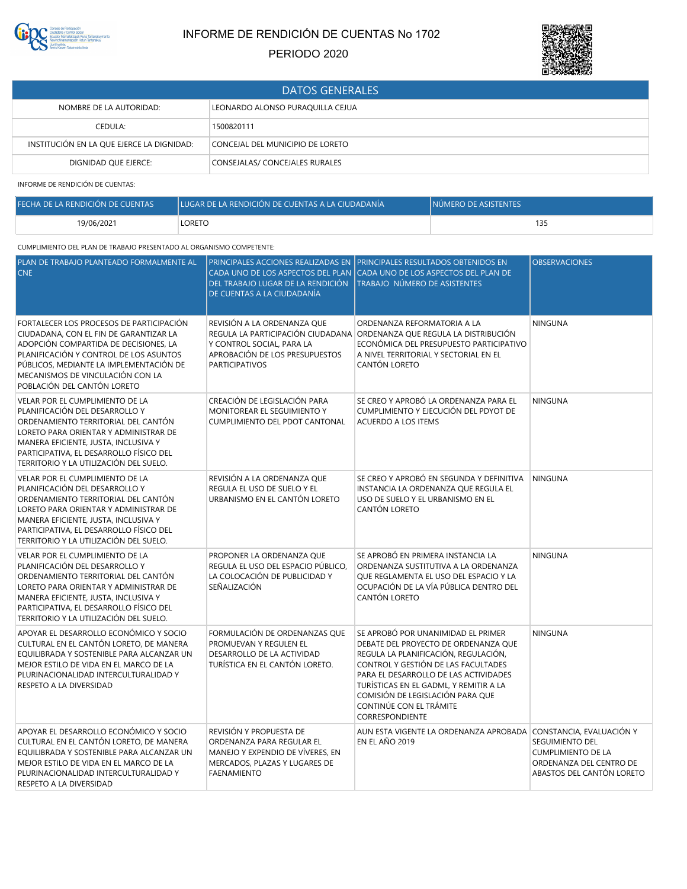

# INFORME DE RENDICIÓN DE CUENTAS No 1702

PERIODO 2020



| <b>DATOS GENERALES</b>                    |                                  |  |
|-------------------------------------------|----------------------------------|--|
| NOMBRE DE LA AUTORIDAD:                   | LEONARDO ALONSO PURAQUILLA CEJUA |  |
| CEDULA:                                   | 1500820111                       |  |
| INSTITUCIÓN EN LA QUE EJERCE LA DIGNIDAD: | CONCEJAL DEL MUNICIPIO DE LORETO |  |
| DIGNIDAD QUE EJERCE:                      | CONSEJALAS/ CONCEJALES RURALES   |  |

INFORME DE RENDICIÓN DE CUENTAS:

| FECHA DE LA RENDICIÓN DE CUENTAS | LUGAR DE LA RENDICIÓN DE CUENTAS A LA CIUDADANÍA | <b>INÚMERO DE ASISTENTES</b> |
|----------------------------------|--------------------------------------------------|------------------------------|
| 19/06/2021                       | LORETO                                           |                              |

## CUMPLIMIENTO DEL PLAN DE TRABAJO PRESENTADO AL ORGANISMO COMPETENTE:

| PLAN DE TRABAJO PLANTEADO FORMALMENTE AL<br><b>CNE</b>                                                                                                                                                                                                                              | DEL TRABAJO LUGAR DE LA RENDICIÓN<br>DE CUENTAS A LA CIUDADANÍA                                                                          | PRINCIPALES ACCIONES REALIZADAS EN PRINCIPALES RESULTADOS OBTENIDOS EN<br>CADA UNO DE LOS ASPECTOS DEL PLAN (CADA UNO DE LOS ASPECTOS DEL PLAN DE<br>TRABAJO NÚMERO DE ASISTENTES                                                                                                                                              | <b>OBSERVACIONES</b>                                                                                                             |
|-------------------------------------------------------------------------------------------------------------------------------------------------------------------------------------------------------------------------------------------------------------------------------------|------------------------------------------------------------------------------------------------------------------------------------------|--------------------------------------------------------------------------------------------------------------------------------------------------------------------------------------------------------------------------------------------------------------------------------------------------------------------------------|----------------------------------------------------------------------------------------------------------------------------------|
| FORTALECER LOS PROCESOS DE PARTICIPACIÓN<br>CIUDADANA, CON EL FIN DE GARANTIZAR LA<br>ADOPCIÓN COMPARTIDA DE DECISIONES, LA<br>PLANIFICACIÓN Y CONTROL DE LOS ASUNTOS<br>PÚBLICOS, MEDIANTE LA IMPLEMENTACIÓN DE<br>MECANISMOS DE VINCULACIÓN CON LA<br>POBLACIÓN DEL CANTÓN LORETO | REVISIÓN A LA ORDENANZA QUE<br>Y CONTROL SOCIAL, PARA LA<br>APROBACIÓN DE LOS PRESUPUESTOS<br><b>PARTICIPATIVOS</b>                      | ORDENANZA REFORMATORIA A LA<br>REGULA LA PARTICIPACIÓN CIUDADANA ORDENANZA QUE REGULA LA DISTRIBUCIÓN<br>ECONÓMICA DEL PRESUPUESTO PARTICIPATIVO<br>A NIVEL TERRITORIAL Y SECTORIAL EN EL<br>CANTÓN LORETO                                                                                                                     | <b>NINGUNA</b>                                                                                                                   |
| VELAR POR EL CUMPLIMIENTO DE LA<br>PLANIFICACIÓN DEL DESARROLLO Y<br>ORDENAMIENTO TERRITORIAL DEL CANTÓN<br>LORETO PARA ORIENTAR Y ADMINISTRAR DE<br>MANERA EFICIENTE, JUSTA, INCLUSIVA Y<br>PARTICIPATIVA, EL DESARROLLO FÍSICO DEL<br>TERRITORIO Y LA UTILIZACIÓN DEL SUELO.      | CREACIÓN DE LEGISLACIÓN PARA<br>MONITOREAR EL SEGUIMIENTO Y<br>CUMPLIMIENTO DEL PDOT CANTONAL                                            | SE CREO Y APROBÓ LA ORDENANZA PARA EL<br>CUMPLIMIENTO Y EJECUCIÓN DEL PDYOT DE<br>ACUERDO A LOS ITEMS                                                                                                                                                                                                                          | <b>NINGUNA</b>                                                                                                                   |
| VELAR POR EL CUMPLIMIENTO DE LA<br>PLANIFICACIÓN DEL DESARROLLO Y<br>ORDENAMIENTO TERRITORIAL DEL CANTÓN<br>LORETO PARA ORIENTAR Y ADMINISTRAR DE<br>MANERA EFICIENTE, JUSTA, INCLUSIVA Y<br>PARTICIPATIVA, EL DESARROLLO FÍSICO DEL<br>TERRITORIO Y LA UTILIZACIÓN DEL SUELO.      | REVISIÓN A LA ORDENANZA QUE<br>REGULA EL USO DE SUELO Y EL<br>URBANISMO EN EL CANTÓN LORETO                                              | SE CREO Y APROBÓ EN SEGUNDA Y DEFINITIVA<br>INSTANCIA LA ORDENANZA QUE REGULA EL<br>USO DE SUELO Y EL URBANISMO EN EL<br>CANTÓN LORETO                                                                                                                                                                                         | <b>NINGUNA</b>                                                                                                                   |
| VELAR POR EL CUMPLIMIENTO DE LA<br>PLANIFICACIÓN DEL DESARROLLO Y<br>ORDENAMIENTO TERRITORIAL DEL CANTÓN<br>LORETO PARA ORIENTAR Y ADMINISTRAR DE<br>MANERA EFICIENTE, JUSTA, INCLUSIVA Y<br>PARTICIPATIVA, EL DESARROLLO FÍSICO DEL<br>TERRITORIO Y LA UTILIZACIÓN DEL SUELO.      | PROPONER LA ORDENANZA QUE<br>REGULA EL USO DEL ESPACIO PÚBLICO,<br>LA COLOCACIÓN DE PUBLICIDAD Y<br>SEÑALIZACIÓN                         | SE APROBÓ EN PRIMERA INSTANCIA LA<br>ORDENANZA SUSTITUTIVA A LA ORDENANZA<br>QUE REGLAMENTA EL USO DEL ESPACIO Y LA<br>OCUPACIÓN DE LA VÍA PÚBLICA DENTRO DEL<br>CANTÓN LORETO                                                                                                                                                 | NINGUNA                                                                                                                          |
| APOYAR EL DESARROLLO ECONÓMICO Y SOCIO<br>CULTURAL EN EL CANTÓN LORETO, DE MANERA<br>EQUILIBRADA Y SOSTENIBLE PARA ALCANZAR UN<br>MEJOR ESTILO DE VIDA EN EL MARCO DE LA<br>PLURINACIONALIDAD INTERCULTURALIDAD Y<br>RESPETO A LA DIVERSIDAD                                        | FORMULACIÓN DE ORDENANZAS QUE<br>PROMUEVAN Y REGULEN EL<br>DESARROLLO DE LA ACTIVIDAD<br>TURÍSTICA EN EL CANTÓN LORETO.                  | SE APROBÓ POR UNANIMIDAD EL PRIMER<br>DEBATE DEL PROYECTO DE ORDENANZA QUE<br>REGULA LA PLANIFICACIÓN, REGULACIÓN,<br>CONTROL Y GESTIÓN DE LAS FACULTADES<br>PARA EL DESARROLLO DE LAS ACTIVIDADES<br>TURÍSTICAS EN EL GADML, Y REMITIR A LA<br>COMISIÓN DE LEGISLACIÓN PARA QUE<br>CONTINÚE CON EL TRÁMITE<br>CORRESPONDIENTE | <b>NINGUNA</b>                                                                                                                   |
| APOYAR EL DESARROLLO ECONÓMICO Y SOCIO<br>CULTURAL EN EL CANTÓN LORETO, DE MANERA<br>EQUILIBRADA Y SOSTENIBLE PARA ALCANZAR UN<br>MEJOR ESTILO DE VIDA EN EL MARCO DE LA<br>PLURINACIONALIDAD INTERCULTURALIDAD Y<br>RESPETO A LA DIVERSIDAD                                        | REVISIÓN Y PROPUESTA DE<br>ORDENANZA PARA REGULAR EL<br>MANEJO Y EXPENDIO DE VÍVERES, EN<br>MERCADOS, PLAZAS Y LUGARES DE<br>FAENAMIENTO | AUN ESTA VIGENTE LA ORDENANZA APROBADA<br>EN EL AÑO 2019                                                                                                                                                                                                                                                                       | CONSTANCIA, EVALUACIÓN Y<br>SEGUIMIENTO DEL<br><b>CUMPLIMIENTO DE LA</b><br>ORDENANZA DEL CENTRO DE<br>ABASTOS DEL CANTÓN LORETO |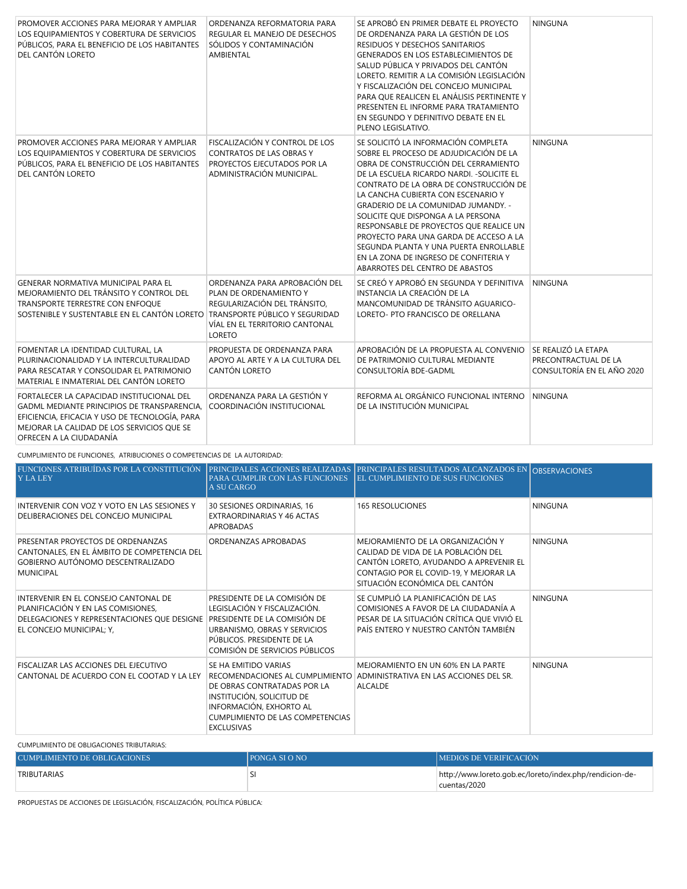| PROMOVER ACCIONES PARA MEJORAR Y AMPLIAR<br>LOS EQUIPAMIENTOS Y COBERTURA DE SERVICIOS<br>PÚBLICOS, PARA EL BENEFICIO DE LOS HABITANTES<br>DEL CANTÓN LORETO                                                               | ORDENANZA REFORMATORIA PARA<br>REGULAR EL MANEJO DE DESECHOS<br>SÓLIDOS Y CONTAMINACIÓN<br>AMBIENTAL                                                                         | SE APROBÓ EN PRIMER DEBATE EL PROYECTO<br>DE ORDENANZA PARA LA GESTIÓN DE LOS<br>RESIDUOS Y DESECHOS SANITARIOS<br><b>GENERADOS EN LOS ESTABLECIMIENTOS DE</b><br>SALUD PÚBLICA Y PRIVADOS DEL CANTÓN<br>LORETO. REMITIR A LA COMISIÓN LEGISLACIÓN<br>Y FISCALIZACIÓN DEL CONCEJO MUNICIPAL<br>PARA QUE REALICEN EL ANÁLISIS PERTINENTE Y<br>PRESENTEN EL INFORME PARA TRATAMIENTO<br>EN SEGUNDO Y DEFINITIVO DEBATE EN EL<br>PLENO LEGISLATIVO.                                                                                            | <b>NINGUNA</b>                                                            |
|----------------------------------------------------------------------------------------------------------------------------------------------------------------------------------------------------------------------------|------------------------------------------------------------------------------------------------------------------------------------------------------------------------------|---------------------------------------------------------------------------------------------------------------------------------------------------------------------------------------------------------------------------------------------------------------------------------------------------------------------------------------------------------------------------------------------------------------------------------------------------------------------------------------------------------------------------------------------|---------------------------------------------------------------------------|
| PROMOVER ACCIONES PARA MEJORAR Y AMPLIAR<br>LOS EQUIPAMIENTOS Y COBERTURA DE SERVICIOS<br>PÚBLICOS, PARA EL BENEFICIO DE LOS HABITANTES<br>DEL CANTÓN LORETO                                                               | FISCALIZACIÓN Y CONTROL DE LOS<br><b>CONTRATOS DE LAS OBRAS Y</b><br>PROYECTOS EJECUTADOS POR LA<br>ADMINISTRACIÓN MUNICIPAL.                                                | SE SOLICITÓ LA INFORMACIÓN COMPLETA<br>SOBRE EL PROCESO DE ADJUDICACIÓN DE LA<br>OBRA DE CONSTRUCCIÓN DEL CERRAMIENTO<br>DE LA ESCUELA RICARDO NARDI. - SOLICITE EL<br>CONTRATO DE LA OBRA DE CONSTRUCCIÓN DE<br>LA CANCHA CUBIERTA CON ESCENARIO Y<br>GRADERIO DE LA COMUNIDAD JUMANDY. -<br>SOLICITE QUE DISPONGA A LA PERSONA<br>RESPONSABLE DE PROYECTOS QUE REALICE UN<br>PROYECTO PARA UNA GARDA DE ACCESO A LA<br>SEGUNDA PLANTA Y UNA PUERTA ENROLLABLE<br>EN LA ZONA DE INGRESO DE CONFITERIA Y<br>ABARROTES DEL CENTRO DE ABASTOS | <b>NINGUNA</b>                                                            |
| GENERAR NORMATIVA MUNICIPAL PARA EL<br>MEJORAMIENTO DEL TRÁNSITO Y CONTROL DEL<br>TRANSPORTE TERRESTRE CON ENFOQUE<br>SOSTENIBLE Y SUSTENTABLE EN EL CANTÓN LORETO                                                         | ORDENANZA PARA APROBACIÓN DEL<br>PLAN DE ORDENAMIENTO Y<br>REGULARIZACIÓN DEL TRÁNSITO,<br>TRANSPORTE PÚBLICO Y SEGURIDAD<br>VÍAL EN EL TERRITORIO CANTONAL<br><b>LORETO</b> | SE CREÓ Y APROBÓ EN SEGUNDA Y DEFINITIVA<br>INSTANCIA LA CREACIÓN DE LA<br>MANCOMUNIDAD DE TRÁNSITO AGUARICO-<br>LORETO- PTO FRANCISCO DE ORELLANA                                                                                                                                                                                                                                                                                                                                                                                          | <b>NINGUNA</b>                                                            |
| FOMENTAR LA IDENTIDAD CULTURAL, LA<br>PLURINACIONALIDAD Y LA INTERCULTURALIDAD<br>PARA RESCATAR Y CONSOLIDAR EL PATRIMONIO<br>MATERIAL E INMATERIAL DEL CANTÓN LORETO                                                      | PROPUESTA DE ORDENANZA PARA<br>APOYO AL ARTE Y A LA CULTURA DEL<br>CANTÓN LORETO                                                                                             | APROBACIÓN DE LA PROPUESTA AL CONVENIO<br>DE PATRIMONIO CULTURAL MEDIANTE<br>CONSULTORÍA BDE-GADML                                                                                                                                                                                                                                                                                                                                                                                                                                          | SE REALIZÓ LA ETAPA<br>PRECONTRACTUAL DE LA<br>CONSULTORÍA EN EL AÑO 2020 |
| FORTALECER LA CAPACIDAD INSTITUCIONAL DEL<br><b>GADML MEDIANTE PRINCIPIOS DE TRANSPARENCIA.</b><br>EFICIENCIA, EFICACIA Y USO DE TECNOLOGÍA, PARA<br>MEJORAR LA CALIDAD DE LOS SERVICIOS QUE SE<br>OFRECEN A LA CIUDADANÍA | ORDENANZA PARA LA GESTIÓN Y<br>COORDINACIÓN INSTITUCIONAL                                                                                                                    | REFORMA AL ORGÁNICO FUNCIONAL INTERNO<br>DE LA INSTITUCIÓN MUNICIPAL                                                                                                                                                                                                                                                                                                                                                                                                                                                                        | <b>NINGUNA</b>                                                            |

CUMPLIMIENTO DE FUNCIONES, ATRIBUCIONES O COMPETENCIAS DE LA AUTORIDAD:

| FUNCIONES ATRIBUÍDAS POR LA CONSTITUCIÓN<br>Y LA LEY                                                                                                  | PARA CUMPLIR CON LAS FUNCIONES<br><b>A SU CARGO</b>                                                                                                                                                     | PRINCIPALES ACCIONES REALIZADAS PRINCIPALES RESULTADOS ALCANZADOS EN OBSERVACIONES<br><b>EL CUMPLIMIENTO DE SUS FUNCIONES</b>                                                                  |                |
|-------------------------------------------------------------------------------------------------------------------------------------------------------|---------------------------------------------------------------------------------------------------------------------------------------------------------------------------------------------------------|------------------------------------------------------------------------------------------------------------------------------------------------------------------------------------------------|----------------|
| INTERVENIR CON VOZ Y VOTO EN LAS SESIONES Y<br>DELIBERACIONES DEL CONCEJO MUNICIPAL                                                                   | 30 SESIONES ORDINARIAS, 16<br>EXTRAORDINARIAS Y 46 ACTAS<br><b>APROBADAS</b>                                                                                                                            | <b>165 RESOLUCIONES</b>                                                                                                                                                                        | <b>NINGUNA</b> |
| PRESENTAR PROYECTOS DE ORDENANZAS<br>CANTONALES, EN EL ÁMBITO DE COMPETENCIA DEL<br>GOBIERNO AUTÓNOMO DESCENTRALIZADO<br><b>MUNICIPAL</b>             | ORDENANZAS APROBADAS                                                                                                                                                                                    | MEJORAMIENTO DE LA ORGANIZACIÓN Y<br>CALIDAD DE VIDA DE LA POBLACIÓN DEL<br>CANTÓN LORETO, AYUDANDO A APREVENIR EL<br>CONTAGIO POR EL COVID-19, Y MEJORAR LA<br>SITUACIÓN ECONÓMICA DEL CANTÓN | <b>NINGUNA</b> |
| INTERVENIR EN EL CONSEJO CANTONAL DE<br>PLANIFICACIÓN Y EN LAS COMISIONES,<br>DELEGACIONES Y REPRESENTACIONES QUE DESIGNE<br>EL CONCEJO MUNICIPAL; Y, | PRESIDENTE DE LA COMISIÓN DE<br>LEGISLACIÓN Y FISCALIZACIÓN.<br>PRESIDENTE DE LA COMISIÓN DE<br>URBANISMO, OBRAS Y SERVICIOS<br>PÚBLICOS. PRESIDENTE DE LA<br>COMISIÓN DE SERVICIOS PÚBLICOS            | SE CUMPLIÓ LA PLANIFICACIÓN DE LAS<br>COMISIONES A FAVOR DE LA CIUDADANÍA A<br>PESAR DE LA SITUACIÓN CRÍTICA QUE VIVIÓ EL<br>PAÍS ENTERO Y NUESTRO CANTÓN TAMBIÉN                              | <b>NINGUNA</b> |
| <b>FISCALIZAR LAS ACCIONES DEL EJECUTIVO</b><br>CANTONAL DE ACUERDO CON EL COOTAD Y LA LEY                                                            | SE HA EMITIDO VARIAS<br>RECOMENDACIONES AL CUMPLIMIENTO<br>DE OBRAS CONTRATADAS POR LA<br>INSTITUCIÓN, SOLICITUD DE<br>INFORMACIÓN, EXHORTO AL<br>CUMPLIMIENTO DE LAS COMPETENCIAS<br><b>EXCLUSIVAS</b> | MEJORAMIENTO EN UN 60% EN LA PARTE<br>ADMINISTRATIVA EN LAS ACCIONES DEL SR.<br><b>ALCALDE</b>                                                                                                 | <b>NINGUNA</b> |

## CUMPLIMIENTO DE OBLIGACIONES TRIBUTARIAS:

| CUMPLIMIENTO DE OBLIGACIONES | <b>IPONGA SI O NO</b> | <b>IMEDIOS DE VERIFICACIÓN</b>                                          |
|------------------------------|-----------------------|-------------------------------------------------------------------------|
| <b>TRIBUTARIAS</b>           |                       | http://www.loreto.gob.ec/loreto/index.php/rendicion-de-<br>cuentas/2020 |

PROPUESTAS DE ACCIONES DE LEGISLACIÓN, FISCALIZACIÓN, POLÍTICA PÚBLICA: